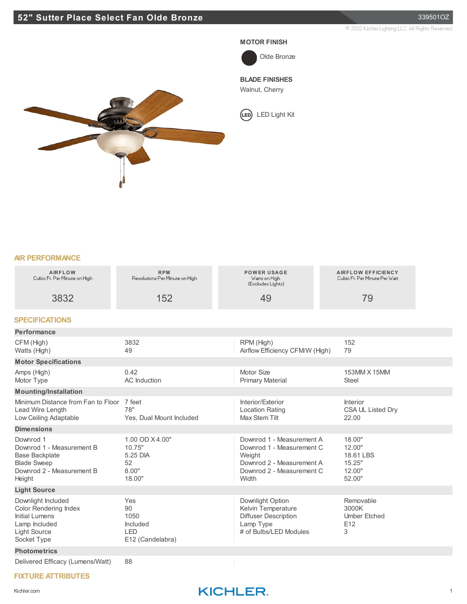#### **MOTOR FINISH**



## **BLADE FINISHES**

Walnut, Cherry

LED Light Kit



#### **AIR PERFORMANCE**

| <b>AIRFLOW</b><br>Cubic Ft. Per Minute on High-                                                                                    | <b>RPM</b><br>Revolutions Per Minute on High                    |  | <b>POWER USAGE</b><br>Watts on High<br>(Excludes Lights)                                                                            |  | <b>AIRFLOW EFFICIENCY</b><br>Cubio Ft. Per Minute Per Watt  |  |
|------------------------------------------------------------------------------------------------------------------------------------|-----------------------------------------------------------------|--|-------------------------------------------------------------------------------------------------------------------------------------|--|-------------------------------------------------------------|--|
| 3832                                                                                                                               | 152                                                             |  | 49                                                                                                                                  |  | 79                                                          |  |
| <b>SPECIFICATIONS</b>                                                                                                              |                                                                 |  |                                                                                                                                     |  |                                                             |  |
| <b>Performance</b>                                                                                                                 |                                                                 |  |                                                                                                                                     |  |                                                             |  |
| CFM (High)<br>Watts (High)                                                                                                         | 3832<br>49                                                      |  | RPM (High)<br>Airflow Efficiency CFM/W (High)                                                                                       |  | 152<br>79                                                   |  |
| <b>Motor Specifications</b>                                                                                                        |                                                                 |  |                                                                                                                                     |  |                                                             |  |
| Amps (High)<br>Motor Type                                                                                                          | 0.42<br><b>AC</b> Induction                                     |  | Motor Size<br><b>Primary Material</b>                                                                                               |  | 153MM X 15MM<br><b>Steel</b>                                |  |
| <b>Mounting/Installation</b>                                                                                                       |                                                                 |  |                                                                                                                                     |  |                                                             |  |
| Minimum Distance from Fan to Floor<br>Lead Wire Length<br>Low Ceiling Adaptable                                                    | 7 feet<br>78"<br>Yes, Dual Mount Included                       |  | Interior/Exterior<br><b>Location Rating</b><br>Max Stem Tilt                                                                        |  | Interior<br>CSA UL Listed Dry<br>22.00                      |  |
| <b>Dimensions</b>                                                                                                                  |                                                                 |  |                                                                                                                                     |  |                                                             |  |
| Downrod 1<br>Downrod 1 - Measurement B<br><b>Base Backplate</b><br><b>Blade Sweep</b><br>Downrod 2 - Measurement B<br>Height       | 1.00 OD X4.00"<br>10.75"<br>5.25 DIA<br>52<br>8.00"<br>18.00"   |  | Downrod 1 - Measurement A<br>Downrod 1 - Measurement C<br>Weight<br>Downrod 2 - Measurement A<br>Downrod 2 - Measurement C<br>Width |  | 18.00"<br>12.00"<br>18.61 LBS<br>15.25"<br>12.00"<br>52.00" |  |
| <b>Light Source</b>                                                                                                                |                                                                 |  |                                                                                                                                     |  |                                                             |  |
| Downlight Included<br><b>Color Rendering Index</b><br><b>Initial Lumens</b><br>Lamp Included<br><b>Light Source</b><br>Socket Type | Yes<br>90<br>1050<br>Included<br><b>LED</b><br>E12 (Candelabra) |  | Downlight Option<br>Kelvin Temperature<br><b>Diffuser Description</b><br>Lamp Type<br># of Bulbs/LED Modules                        |  | Removable<br>3000K<br><b>Umber Etched</b><br>E12<br>3       |  |
| <b>Photometrics</b>                                                                                                                |                                                                 |  |                                                                                                                                     |  |                                                             |  |
| Delivered Efficacy (Lumens/Watt)                                                                                                   | 88                                                              |  |                                                                                                                                     |  |                                                             |  |

### **FIXTURE ATTRIBUTES**

## Kichler.com **KICHLER**